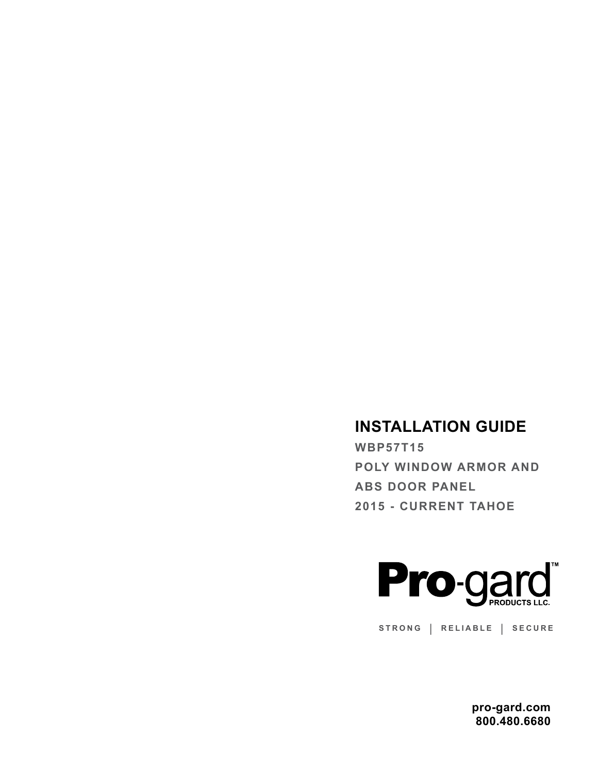# **INSTALLATION GUIDE**

**WBP57T15 POLY WINDOW ARMOR AND ABS DOOR PANEL 2015 - CURRENT TAHOE**



**STRONG | RELIABLE | SECURE**

**pro-gard.com 800.480.6680**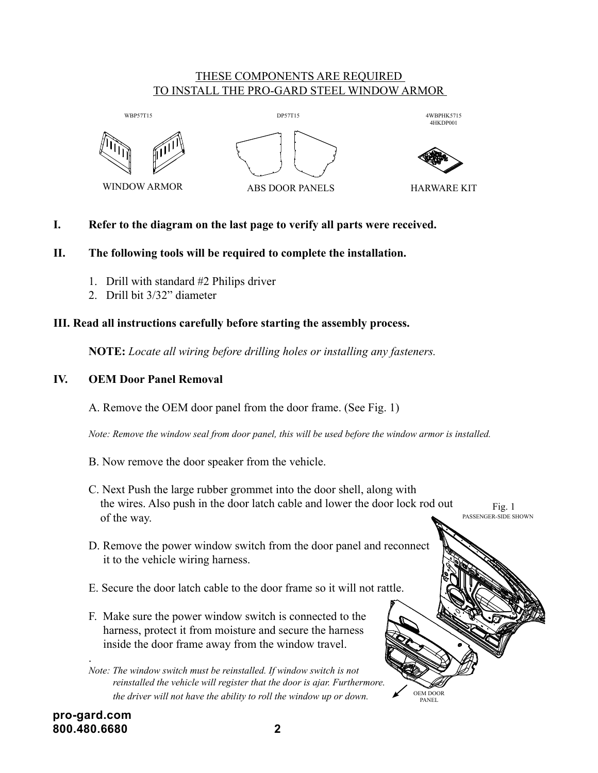# THESE COMPONENTS ARE REQUIRED <u>TO INSTALL THE PRO-GARD STEEL WINDOW ARMOR</u>





4WBPHK5715 4HKDP001

HARWARE KIT

OEM DOOR PANEL

#### I. Refer to the diagram on the last page to verify all parts were received. lefer to t

# **II. The following tools will be required to complete the installation.**

- 1. Drill with standard  $#2$  Philips driver
- 2. Drill bit 3/32" diameter

### **III. Read all instructions carefully before starting the assembly process.** 2 3 4

**NOTE:** *Locate all wiring before drilling holes or installing any fasteners.*

# **IV. OEM Door Panel Removal**

A. Remove the OEM door panel from the door frame. (See Fig. 1)

 *Note: Remove the window seal from door panel, this will be used before the window armor is installed.*

- B. Now remove the door speaker from the vehicle.
- C. Next Push the large rubber grommet into the door shell, along with the wires. Also push in the door latch cable and lower the door lock rod out of the way. Fig. 1 PASSENGER-SIDE SHOWN
- D. Remove the power window switch from the door panel and reconnect it to the vehicle wiring harness.
- E. Secure the door latch cable to the door frame so it will not rattle.
- F. Make sure the power window switch is connected to the harness, protect it from moisture and secure the harness inside the door frame away from the window travel.

.

*Note: The window switch must be reinstalled. If window switch is not reinstalled the vehicle will register that the door is ajar. Furthermore. the driver will not have the ability to roll the window up or down.*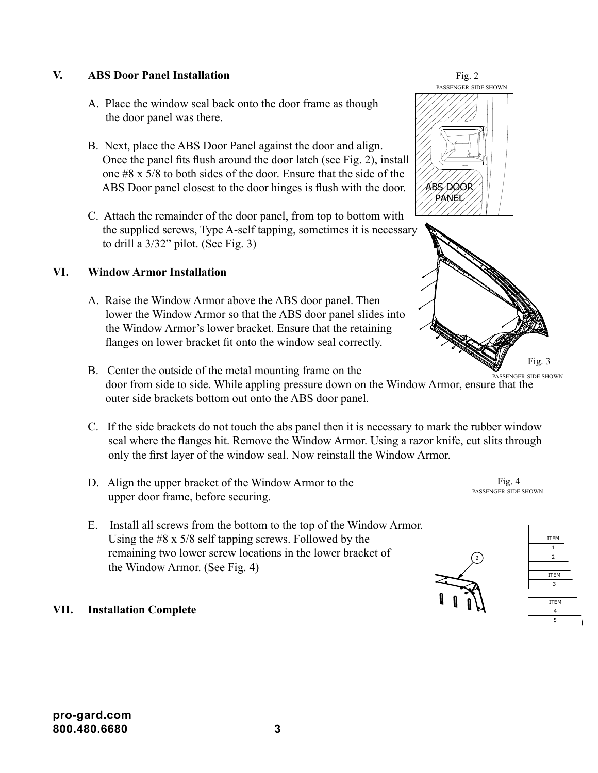# **V. ABS Door Panel Installation**

- A. Place the window seal back onto the door frame as though the door panel was there.
- B. Next, place the ABS Door Panel against the door and align. Once the panel fits flush around the door latch (see Fig. 2), install one #8 x 5/8 to both sides of the door. Ensure that the side of the ABS Door panel closest to the door hinges is flush with the door.
- C. Attach the remainder of the door panel, from top to bottom with the supplied screws, Type A-self tapping, sometimes it is necessary to drill a 3/32" pilot. (See Fig. 3)

# **VI. Window Armor Installation**

- A. Raise the Window Armor above the ABS door panel. Then lower the Window Armor so that the ABS door panel slides into the Window Armor's lower bracket. Ensure that the retaining flanges on lower bracket fit onto the window seal correctly.
- B. Center the outside of the metal mounting frame on the door from side to side. While appling pressure down on the Window Armor, ensure that the outer side brackets bottom out onto the ABS door panel. PASSENGER-SIDE SHOWN
- C. If the side brackets do not touch the abs panel then it is necessary to mark the rubber window seal where the flanges hit. Remove the Window Armor. Using a razor knife, cut slits through only the first layer of the window seal. Now reinstall the Window Armor. 2
- D. Align the upper bracket of the Window Armor to the upper door frame, before securing.
- E. Install all screws from the bottom to the top of the Window Armor. Using the #8 x 5/8 self tapping screws. Followed by the remaining two lower screw locations in the lower bracket of  $\sqrt{2}$ the Window Armor. (See Fig. 4)  $\sqrt{2}$

# **VII. Installation Complete**



Fig. 2 PASSENGER-SIDE SHOWN



Fig. 4 PASSENGER-SIDE SHOWN



ITEM QTY PART NUMBER DESCRIPTION  $1$  3WBP5715-D Window Bar  $P$  $2$ ITEM QTY PART NUMBER DESCRIPTION OF A REAL PROPERTY.  $3<sup>3</sup>$ ITEM QTY PART NUMBER DESCRIPTION  $4$  $5$